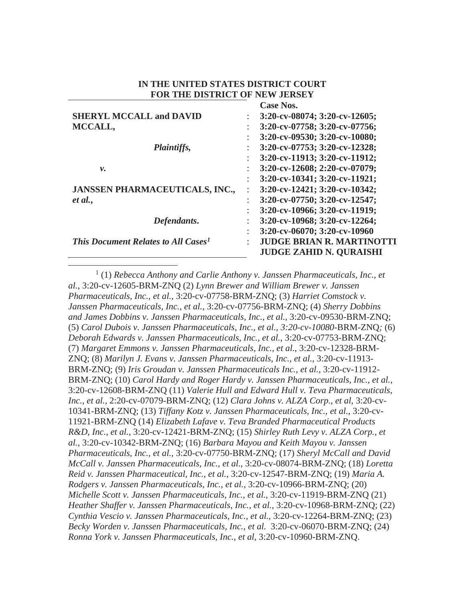#### **IN THE UNITED STATES DISTRICT COURT FOR THE DISTRICT OF NEW JERSEY**

**Case Nos.** 

|                                                        |                | VASE INDS.                       |
|--------------------------------------------------------|----------------|----------------------------------|
| <b>SHERYL MCCALL and DAVID</b>                         |                | 3:20-cv-08074; 3:20-cv-12605;    |
| MCCALL,                                                |                | 3:20-cv-07758; 3:20-cv-07756;    |
|                                                        |                | 3:20-cv-09530; 3:20-cv-10080;    |
| Plaintiffs,                                            |                | 3:20-cv-07753; 3:20-cv-12328;    |
|                                                        |                | 3:20-cv-11913; 3:20-cv-11912;    |
| ν.                                                     | ÷              | 3:20-cv-12608; 2:20-cv-07079;    |
|                                                        | $\ddot{\cdot}$ | 3:20-cv-10341; 3:20-cv-11921;    |
| <b>JANSSEN PHARMACEUTICALS, INC.,</b>                  |                | 3:20-cv-12421; 3:20-cv-10342;    |
| et al.,                                                |                | 3:20-cv-07750; 3:20-cv-12547;    |
|                                                        |                | 3:20-cv-10966; 3:20-cv-11919;    |
| Defendants.                                            |                | 3:20-cv-10968; 3:20-cv-12264;    |
|                                                        |                | 3:20-cv-06070; 3:20-cv-10960     |
| <b>This Document Relates to All Cases</b> <sup>1</sup> |                | <b>JUDGE BRIAN R. MARTINOTTI</b> |
|                                                        |                | <b>JUDGE ZAHID N. QURAISHI</b>   |
|                                                        |                |                                  |

<sup>1</sup> (1) *Rebecca Anthony and Carlie Anthony v. Janssen Pharmaceuticals, Inc., et al.*, 3:20-cv-12605-BRM-ZNQ (2) *Lynn Brewer and William Brewer v. Janssen Pharmaceuticals, Inc., et al.*, 3:20-cv-07758-BRM-ZNQ; (3) *Harriet Comstock v. Janssen Pharmaceuticals, Inc., et al.*, 3:20-cv-07756-BRM-ZNQ; (4) *Sherry Dobbins and James Dobbins v. Janssen Pharmaceuticals, Inc., et al.,* 3:20-cv-09530-BRM-ZNQ; (5) *Carol Dubois v. Janssen Pharmaceuticals, Inc., et al., 3:20-cv-10080*-BRM-ZNQ*;* (6) *Deborah Edwards v. Janssen Pharmaceuticals, Inc., et al.*, 3:20-cv-07753-BRM-ZNQ; (7) *Margaret Emmons v. Janssen Pharmaceuticals, Inc., et al.*, 3:20-cv-12328-BRM-ZNQ; (8) *Marilyn J. Evans v. Janssen Pharmaceuticals, Inc., et al.*, 3:20-cv-11913- BRM-ZNQ; (9) *Iris Groudan v. Janssen Pharmaceuticals Inc., et al.*, 3:20-cv-11912- BRM-ZNQ; (10) *Carol Hardy and Roger Hardy v. Janssen Pharmaceuticals, Inc., et al.*, 3:20-cv-12608-BRM-ZNQ (11) *Valerie Hull and Edward Hull v. Teva Pharmaceuticals, Inc., et al.,* 2:20-cv-07079-BRM-ZNQ; (12) *Clara Johns v. ALZA Corp., et al,* 3:20-cv-10341-BRM-ZNQ; (13) *Tiffany Kotz v. Janssen Pharmaceuticals, Inc., et al.*, 3:20-cv-11921-BRM-ZNQ (14) *Elizabeth Lafave v. Teva Branded Pharmaceutical Products R&D, Inc., et al.*, 3:20-cv-12421-BRM-ZNQ; (15) *Shirley Ruth Levy v. ALZA Corp., et al.,* 3:20-cv-10342-BRM-ZNQ; (16) *Barbara Mayou and Keith Mayou v. Janssen Pharmaceuticals, Inc., et al.*, 3:20-cv-07750-BRM-ZNQ; (17) *Sheryl McCall and David McCall v. Janssen Pharmaceuticals, Inc., et al.*, 3:20-cv-08074-BRM-ZNQ; (18) *Loretta Reid v. Janssen Pharmaceutical, Inc., et al.*, 3:20-cv-12547-BRM-ZNQ; (19) *Maria A. Rodgers v. Janssen Pharmaceuticals, Inc., et al.,* 3:20-cv-10966-BRM-ZNQ; (20) *Michelle Scott v. Janssen Pharmaceuticals, Inc., et al.*, 3:20-cv-11919-BRM-ZNQ (21) *Heather Shaffer v. Janssen Pharmaceuticals, Inc., et al.,* 3:20-cv-10968-BRM-ZNQ; (22) *Cynthia Vescio v. Janssen Pharmaceuticals, Inc., et al.*, 3:20-cv-12264-BRM-ZNQ; (23) *Becky Worden v. Janssen Pharmaceuticals, Inc., et al.* 3:20-cv-06070-BRM-ZNQ; (24) *Ronna York v. Janssen Pharmaceuticals, Inc., et al,* 3:20-cv-10960-BRM-ZNQ.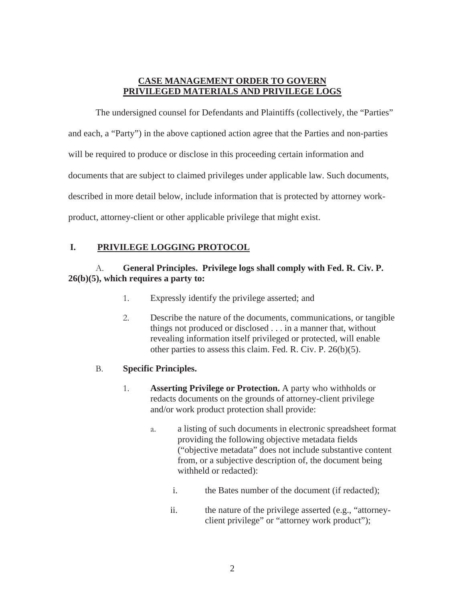### **CASE MANAGEMENT ORDER TO GOVERN PRIVILEGED MATERIALS AND PRIVILEGE LOGS**

The undersigned counsel for Defendants and Plaintiffs (collectively, the "Parties" and each, a "Party") in the above captioned action agree that the Parties and non-parties will be required to produce or disclose in this proceeding certain information and documents that are subject to claimed privileges under applicable law. Such documents, described in more detail below, include information that is protected by attorney workproduct, attorney-client or other applicable privilege that might exist.

# **I. PRIVILEGE LOGGING PROTOCOL**

## A. **General Principles. Privilege logs shall comply with Fed. R. Civ. P. 26(b)(5), which requires a party to:**

- 1. Expressly identify the privilege asserted; and
- 2. Describe the nature of the documents, communications, or tangible things not produced or disclosed . . . in a manner that, without revealing information itself privileged or protected, will enable other parties to assess this claim. Fed. R. Civ. P. 26(b)(5).

### B. **Specific Principles.**

- 1. **Asserting Privilege or Protection.** A party who withholds or redacts documents on the grounds of attorney-client privilege and/or work product protection shall provide:
	- a. a listing of such documents in electronic spreadsheet format providing the following objective metadata fields ("objective metadata" does not include substantive content from, or a subjective description of, the document being withheld or redacted):
		- i. the Bates number of the document (if redacted);
		- ii. the nature of the privilege asserted (e.g., "attorneyclient privilege" or "attorney work product");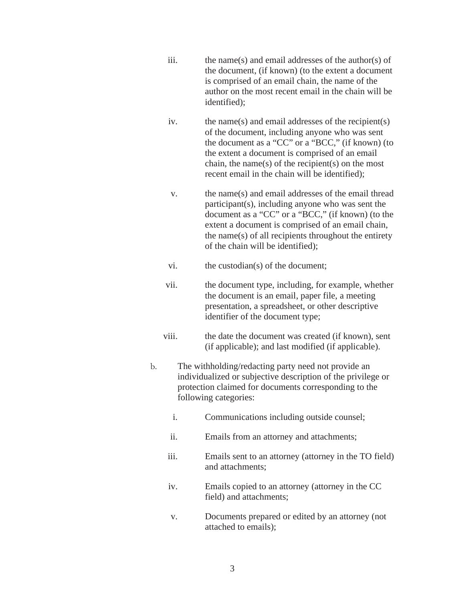- iii. the name(s) and email addresses of the author(s) of the document, (if known) (to the extent a document is comprised of an email chain, the name of the author on the most recent email in the chain will be identified);
- iv. the name(s) and email addresses of the recipient(s) of the document, including anyone who was sent the document as a "CC" or a "BCC," (if known) (to the extent a document is comprised of an email chain, the name(s) of the recipient(s) on the most recent email in the chain will be identified);
- v. the name(s) and email addresses of the email thread participant(s), including anyone who was sent the document as a "CC" or a "BCC," (if known) (to the extent a document is comprised of an email chain, the name(s) of all recipients throughout the entirety of the chain will be identified);
- vi. the custodian(s) of the document;
- vii. the document type, including, for example, whether the document is an email, paper file, a meeting presentation, a spreadsheet, or other descriptive identifier of the document type;
- viii. the date the document was created (if known), sent (if applicable); and last modified (if applicable).
- b. The withholding/redacting party need not provide an individualized or subjective description of the privilege or protection claimed for documents corresponding to the following categories:
	- i. Communications including outside counsel;
	- ii. Emails from an attorney and attachments;
	- iii. Emails sent to an attorney (attorney in the TO field) and attachments;
	- iv. Emails copied to an attorney (attorney in the CC field) and attachments;
	- v. Documents prepared or edited by an attorney (not attached to emails);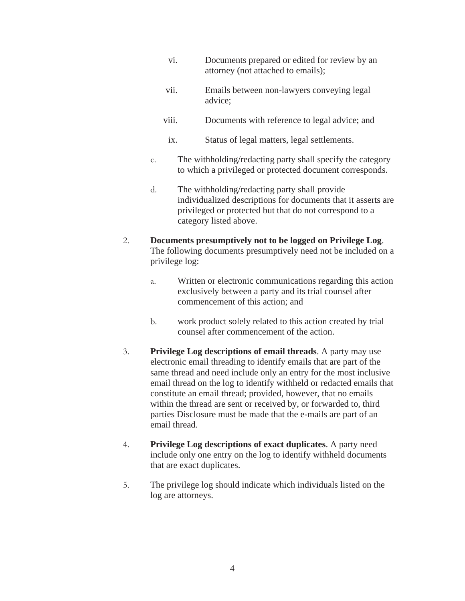- vi. Documents prepared or edited for review by an attorney (not attached to emails);
- vii. Emails between non-lawyers conveying legal advice;
- viii. Documents with reference to legal advice; and
	- ix. Status of legal matters, legal settlements.
- c. The withholding/redacting party shall specify the category to which a privileged or protected document corresponds.
- d. The withholding/redacting party shall provide individualized descriptions for documents that it asserts are privileged or protected but that do not correspond to a category listed above.

### 2. **Documents presumptively not to be logged on Privilege Log**. The following documents presumptively need not be included on a privilege log:

- a. Written or electronic communications regarding this action exclusively between a party and its trial counsel after commencement of this action; and
- b. work product solely related to this action created by trial counsel after commencement of the action.
- 3. **Privilege Log descriptions of email threads**. A party may use electronic email threading to identify emails that are part of the same thread and need include only an entry for the most inclusive email thread on the log to identify withheld or redacted emails that constitute an email thread; provided, however, that no emails within the thread are sent or received by, or forwarded to, third parties Disclosure must be made that the e-mails are part of an email thread.
- 4. **Privilege Log descriptions of exact duplicates**. A party need include only one entry on the log to identify withheld documents that are exact duplicates.
- 5. The privilege log should indicate which individuals listed on the log are attorneys.